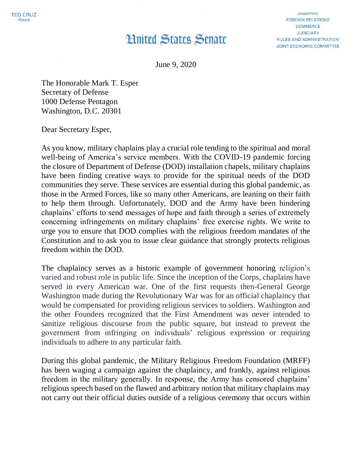## **Hnited States Senate**

**COMMITTEES: FOREIGN RELATIONS COMMERCE JUDICIARY** RULES AND ADMINISTRATION JOINT ECONOMIC COMMITTEE

June 9, 2020

The Honorable Mark T. Esper Secretary of Defense 1000 Defense Pentagon Washington, D.C. 20301

Dear Secretary Esper,

As you know, military chaplains play a crucial role tending to the spiritual and moral well-being of America's service members. With the COVID-19 pandemic forcing the closure of Department of Defense (DOD) installation chapels, military chaplains have been finding creative ways to provide for the spiritual needs of the DOD communities they serve. These services are essential during this global pandemic, as those in the Armed Forces, like so many other Americans, are leaning on their faith to help them through. Unfortunately, DOD and the Army have been hindering chaplains' efforts to send messages of hope and faith through a series of extremely concerning infringements on military chaplains' free exercise rights. We write to urge you to ensure that DOD complies with the religious freedom mandates of the Constitution and to ask you to issue clear guidance that strongly protects religious freedom within the DOD.

The chaplaincy serves as a historic example of government honoring religion's varied and robust role in public life. Since the inception of the Corps, chaplains have served in every American war. One of the first requests then-General George Washington made during the Revolutionary War was for an official chaplaincy that would be compensated for providing religious services to soldiers. Washington and the other Founders recognized that the First Amendment was never intended to sanitize religious discourse from the public square, but instead to prevent the government from infringing on individuals' religious expression or requiring individuals to adhere to any particular faith.

During this global pandemic, the Military Religious Freedom Foundation (MRFF) has been waging a campaign against the chaplaincy, and frankly, against religious freedom in the military generally. In response, the Army has censored chaplains' religious speech based on the flawed and arbitrary notion that military chaplains may not carry out their official duties outside of a religious ceremony that occurs within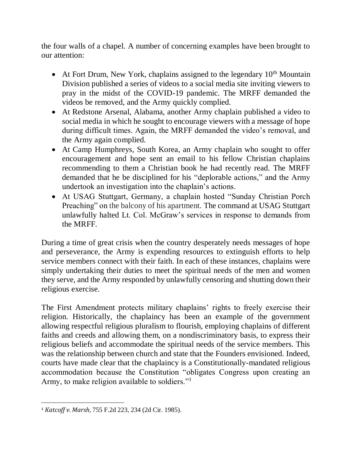the four walls of a chapel. A number of concerning examples have been brought to our attention:

- $\bullet$  At Fort Drum, New York, chaplains assigned to the legendary  $10^{th}$  Mountain Division published a series of videos to a social media site inviting viewers to pray in the midst of the COVID-19 pandemic. The MRFF demanded the videos be removed, and the Army quickly complied.
- At Redstone Arsenal, Alabama, another Army chaplain published a video to social media in which he sought to encourage viewers with a message of hope during difficult times. Again, the MRFF demanded the video's removal, and the Army again complied.
- At Camp Humphreys, South Korea, an Army chaplain who sought to offer encouragement and hope sent an email to his fellow Christian chaplains recommending to them a Christian book he had recently read. The MRFF demanded that he be disciplined for his "deplorable actions," and the Army undertook an investigation into the chaplain's actions.
- At USAG Stuttgart, Germany, a chaplain hosted "Sunday Christian Porch Preaching" on the balcony of his apartment. The command at USAG Stuttgart unlawfully halted Lt. Col. McGraw's services in response to demands from the MRFF.

During a time of great crisis when the country desperately needs messages of hope and perseverance, the Army is expending resources to extinguish efforts to help service members connect with their faith. In each of these instances, chaplains were simply undertaking their duties to meet the spiritual needs of the men and women they serve, and the Army responded by unlawfully censoring and shutting down their religious exercise.

The First Amendment protects military chaplains' rights to freely exercise their religion. Historically, the chaplaincy has been an example of the government allowing respectful religious pluralism to flourish, employing chaplains of different faiths and creeds and allowing them, on a nondiscriminatory basis, to express their religious beliefs and accommodate the spiritual needs of the service members. This was the relationship between church and state that the Founders envisioned. Indeed, courts have made clear that the chaplaincy is a Constitutionally-mandated religious accommodation because the Constitution "obligates Congress upon creating an Army, to make religion available to soldiers."<sup>1</sup>

 $\overline{a}$ 

<sup>1</sup> *Katcoff v. Marsh*, 755 F.2d 223, 234 (2d Cir. 1985).